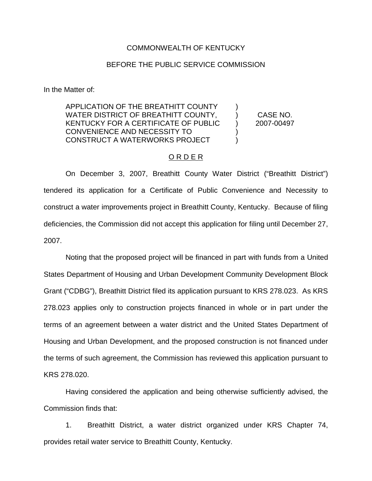## COMMONWEALTH OF KENTUCKY

## BEFORE THE PUBLIC SERVICE COMMISSION

In the Matter of:

APPLICATION OF THE BREATHITT COUNTY WATER DISTRICT OF BREATHITT COUNTY, KENTUCKY FOR A CERTIFICATE OF PUBLIC CONVENIENCE AND NECESSITY TO CONSTRUCT A WATERWORKS PROJECT )  $\lambda$  $\lambda$ ) ) CASE NO. 2007-00497

On December 3, 2007, Breathitt County Water District ("Breathitt District") tendered its application for a Certificate of Public Convenience and Necessity to construct a water improvements project in Breathitt County, Kentucky. Because of filing deficiencies, the Commission did not accept this application for filing until December 27, 2007.

O R D E R

Noting that the proposed project will be financed in part with funds from a United States Department of Housing and Urban Development Community Development Block Grant ("CDBG"), Breathitt District filed its application pursuant to KRS 278.023. As KRS 278.023 applies only to construction projects financed in whole or in part under the terms of an agreement between a water district and the United States Department of Housing and Urban Development, and the proposed construction is not financed under the terms of such agreement, the Commission has reviewed this application pursuant to KRS 278.020.

Having considered the application and being otherwise sufficiently advised, the Commission finds that:

1. Breathitt District, a water district organized under KRS Chapter 74, provides retail water service to Breathitt County, Kentucky.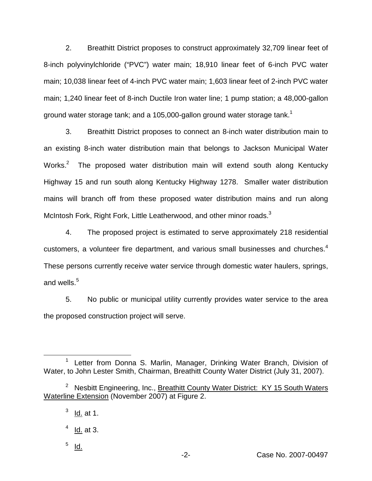2. Breathitt District proposes to construct approximately 32,709 linear feet of 8-inch polyvinylchloride ("PVC") water main; 18,910 linear feet of 6-inch PVC water main; 10,038 linear feet of 4-inch PVC water main; 1,603 linear feet of 2-inch PVC water main; 1,240 linear feet of 8-inch Ductile Iron water line; 1 pump station; a 48,000-gallon ground water storage tank; and a 105,000-gallon ground water storage tank.<sup>1</sup>

3. Breathitt District proposes to connect an 8-inch water distribution main to an existing 8-inch water distribution main that belongs to Jackson Municipal Water Works.<sup>2</sup> The proposed water distribution main will extend south along Kentucky Highway 15 and run south along Kentucky Highway 1278. Smaller water distribution mains will branch off from these proposed water distribution mains and run along McIntosh Fork, Right Fork, Little Leatherwood, and other minor roads.<sup>3</sup>

4. The proposed project is estimated to serve approximately 218 residential customers, a volunteer fire department, and various small businesses and churches.<sup>4</sup> These persons currently receive water service through domestic water haulers, springs, and wells. $5$ 

5. No public or municipal utility currently provides water service to the area the proposed construction project will serve.

<sup>&</sup>lt;sup>1</sup> Letter from Donna S. Marlin, Manager, Drinking Water Branch, Division of Water, to John Lester Smith, Chairman, Breathitt County Water District (July 31, 2007).

<sup>&</sup>lt;sup>2</sup> Nesbitt Engineering, Inc., Breathitt County Water District: KY 15 South Waters Waterline Extension (November 2007) at Figure 2.

 $3$  Id. at 1.

 $<sup>4</sup>$  Id. at 3.</sup>

 $5$  Id.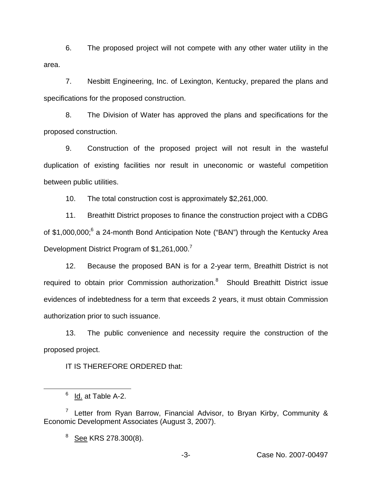6. The proposed project will not compete with any other water utility in the area.

7. Nesbitt Engineering, Inc. of Lexington, Kentucky, prepared the plans and specifications for the proposed construction.

8. The Division of Water has approved the plans and specifications for the proposed construction.

9. Construction of the proposed project will not result in the wasteful duplication of existing facilities nor result in uneconomic or wasteful competition between public utilities.

10. The total construction cost is approximately \$2,261,000.

11. Breathitt District proposes to finance the construction project with a CDBG of \$1,000,000;<sup>6</sup> a 24-month Bond Anticipation Note ("BAN") through the Kentucky Area Development District Program of \$1,261,000.<sup>7</sup>

12. Because the proposed BAN is for a 2-year term, Breathitt District is not required to obtain prior Commission authorization.<sup>8</sup> Should Breathitt District issue evidences of indebtedness for a term that exceeds 2 years, it must obtain Commission authorization prior to such issuance.

13. The public convenience and necessity require the construction of the proposed project.

IT IS THEREFORE ORDERED that:

<sup>8</sup> See KRS 278.300(8).

 $6$  Id. at Table A-2.

<sup>&</sup>lt;sup>7</sup> Letter from Ryan Barrow, Financial Advisor, to Bryan Kirby, Community & Economic Development Associates (August 3, 2007).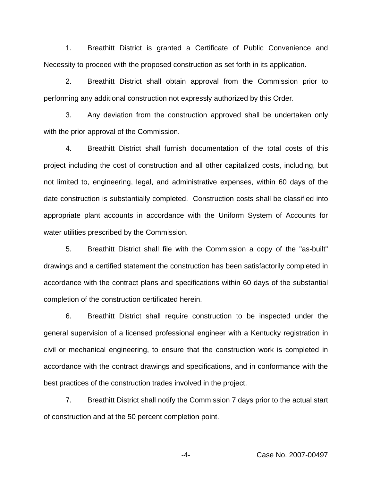1. Breathitt District is granted a Certificate of Public Convenience and Necessity to proceed with the proposed construction as set forth in its application.

2. Breathitt District shall obtain approval from the Commission prior to performing any additional construction not expressly authorized by this Order.

3. Any deviation from the construction approved shall be undertaken only with the prior approval of the Commission.

4. Breathitt District shall furnish documentation of the total costs of this project including the cost of construction and all other capitalized costs, including, but not limited to, engineering, legal, and administrative expenses, within 60 days of the date construction is substantially completed. Construction costs shall be classified into appropriate plant accounts in accordance with the Uniform System of Accounts for water utilities prescribed by the Commission.

5. Breathitt District shall file with the Commission a copy of the "as-built" drawings and a certified statement the construction has been satisfactorily completed in accordance with the contract plans and specifications within 60 days of the substantial completion of the construction certificated herein.

6. Breathitt District shall require construction to be inspected under the general supervision of a licensed professional engineer with a Kentucky registration in civil or mechanical engineering, to ensure that the construction work is completed in accordance with the contract drawings and specifications, and in conformance with the best practices of the construction trades involved in the project.

7. Breathitt District shall notify the Commission 7 days prior to the actual start of construction and at the 50 percent completion point.